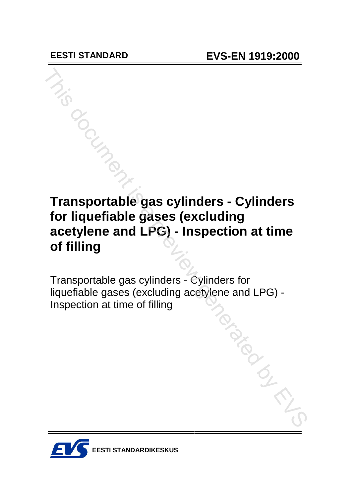# **Transportable gas cylinders - Cylinders for liquefiable gases (excluding acetylene and LPG) - Inspection at time of filling** This document is a previous

Transportable gas cylinders - Cylinders for liquefiable gases (excluding acetylene and LPG) - Inspection at time of filling<br>
and time of filling<br>
and the contract of filling<br>
and the contract of filling<br>
and the contract of filling<br>
and the contract of the contract of the contract of the contract of the contract of

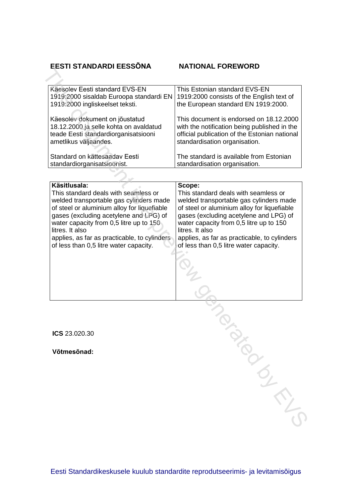## **EESTI STANDARDI EESS'NA NATIONAL FOREWORD**

of less than 0,5 litre water capacity.

|                                | Käesolev Eesti standard EVS-EN<br>1919:2000 sisaldab Euroopa standardi EN      | This Estonian standard EVS-EN<br>1919:2000 consists of the English text of                    |
|--------------------------------|--------------------------------------------------------------------------------|-----------------------------------------------------------------------------------------------|
|                                | 1919:2000 ingliskeelset teksti.                                                | the European standard EN 1919:2000.                                                           |
| Käesolev dokument on jõustatud |                                                                                | This document is endorsed on 18.12.2000                                                       |
|                                | 18.12.2000 ja selle kohta on avaldatud<br>teade Eesti standardiorganisatsiooni | with the notification being published in the<br>official publication of the Estonian national |
|                                | ametlikus väljaandes.                                                          | standardisation organisation.                                                                 |
| Standard on kättesaadav Eesti  |                                                                                | The standard is available from Estonian                                                       |
|                                |                                                                                |                                                                                               |
|                                | standardiorganisatsioonist.                                                    | standardisation organisation.                                                                 |
|                                | Käsitlusala:                                                                   | Scope:                                                                                        |
|                                | This standard deals with seamless or                                           | This standard deals with seamless or                                                          |
|                                |                                                                                |                                                                                               |
|                                | welded transportable gas cylinders made                                        | welded transportable gas cylinders made                                                       |
|                                | of steel or aluminium alloy for liquefiable                                    | of steel or aluminium alloy for liquefiable                                                   |
|                                | gases (excluding acetylene and LPG) of                                         | gases (excluding acetylene and LPG) of                                                        |
|                                | water capacity from 0,5 litre up to 150                                        | water capacity from 0,5 litre up to 150                                                       |
|                                | litres. It also                                                                | litres. It also                                                                               |

applies, as far as practicable, to cylinders applies, as far as practicable, to cylinders

of less than 0,5 litre water capacity.

Senset is a previous con-

**ICS** 23.020.30

**Vıtmesınad:**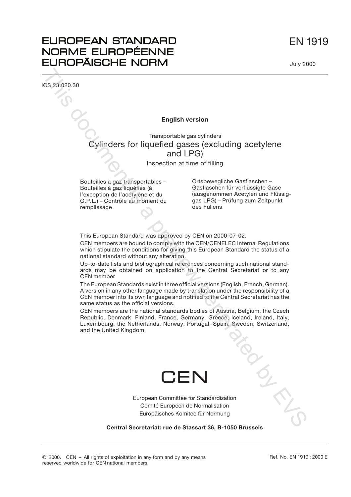# EN 1919

# **EUROPEAN STANDARD** NORME EUROPÉENNE **EUROPÄISCHE NORM**

ICS 23.020.30

Descriptors:

#### **English version**

Transportable gas cylinders Cylinders for liquefied gases (excluding acetylene and LPG) English version<br>
Cylinders for liquerised by as cylinders<br>
Cylinders for liquerised gases (excluding acetylene<br>
and LPG)<br>
and the distance of this document<br>
Boutslies a parameterise in the filling<br>
Boutslies a parameteris

Inspection at time of filling

Bouteilles à gaz transportables – Bouteilles à gaz liquéfiés (à l'exception de l'acétylène et du G.P.L.) – Contrôle au moment du Ortsbewegliche Gasflaschen – Gasflaschen für verflüssigte Gase (ausgenommen Acetylen und Flüssiggas LPG) – Prüfung zum Zeitpunkt des Füllens

This European Standard was approved by CEN on 2000-07-02.

CEN members are bound to comply with the CEN/CENELEC Internal Regulations which stipulate the conditions for giving this European Standard the status of a national standard without any alteration.

Up-to-date lists and bibliographical references concerning such national standards may be obtained on application to the Central Secretariat or to any CEN member.

The European Standards exist in three official versions (English, French, German). A version in any other language made by translation under the responsibility of a CEN member into its own language and notified to the Central Secretariat has the same status as the official versions.

CEN members are the national standards bodies of Austria, Belgium, the Czech Republic, Denmark, Finland, France, Germany, Greece, Iceland, Ireland, Italy, Luxembourg, the Netherlands, Norway, Portugal, Spain, Sweden, Switzerland, and the United Kingdom.



European Committee for Standardization Comité Européen de Normalisation Europäisches Komitee für Normung

**Central Secretariat: rue de Stassart 36, B-1050 Brussels**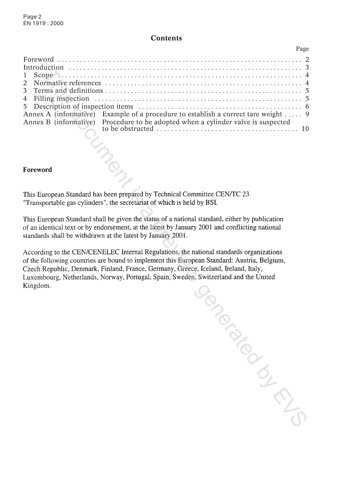#### **Contents**

| Annex A (informative) Example of a procedure to establish a correct tare weight  9                                                                                                   |  |
|--------------------------------------------------------------------------------------------------------------------------------------------------------------------------------------|--|
| Annex B (informative) Procedure to be adopted when a cylinder valve is suspected<br>to be obstructed $\ldots$ . $\ldots$ . $\ldots$ . $\ldots$ . $\ldots$ . $\ldots$ . $\ldots$ . 10 |  |

**Forceword**<br>
This European Sandard has been prepared by Technical Committee CEN/IC 23<br>
Transportable gas cylinders', the secretariat of which is held by BSI.<br>
This European Standard shall be given the status of a national

Page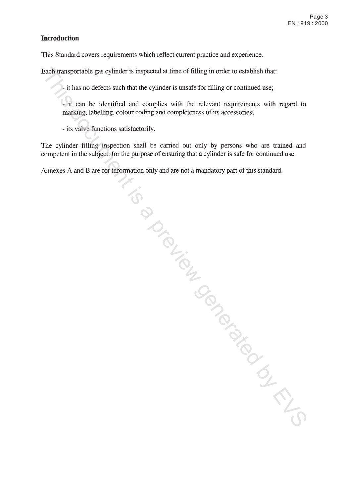### **Introduction**

This Standard covers requirements which reflect current practice and experience.

Each transportable gas cylinder is impected at time of filling in order to establish that:<br>  $\therefore$  it has no defects such that the cylinder is unsafe for filling or continued use:<br>
The can be identified and complete with t